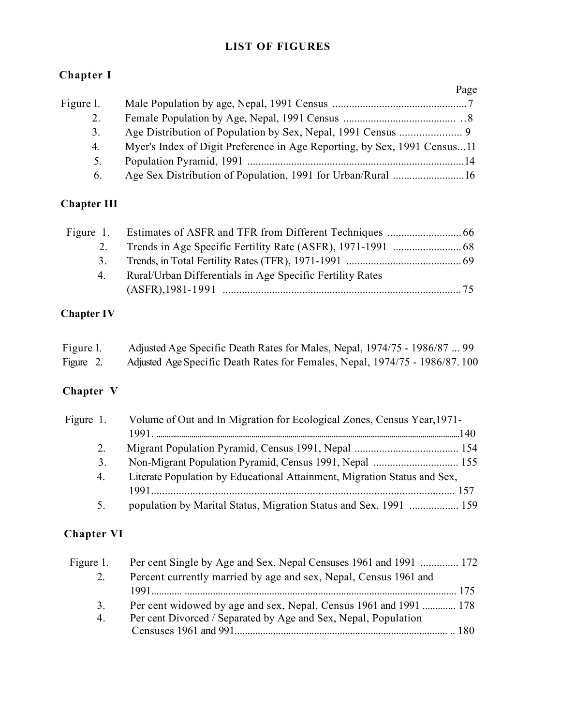#### LIST OF FIGURES

### Chapter I

|           |                                                                          | Page |
|-----------|--------------------------------------------------------------------------|------|
| Figure 1. |                                                                          |      |
| 2.        |                                                                          |      |
| 3.        |                                                                          |      |
| 4.        | Myer's Index of Digit Preference in Age Reporting, by Sex, 1991 Census11 |      |
| 5.        |                                                                          |      |
| 6.        | Age Sex Distribution of Population, 1991 for Urban/Rural 16              |      |

## Chapter III

| 2. |                                                           |  |
|----|-----------------------------------------------------------|--|
| 3. |                                                           |  |
| 4. | Rural/Urban Differentials in Age Specific Fertility Rates |  |
|    |                                                           |  |

### Chapter IV

| Figure 1. | Adjusted Age Specific Death Rates for Males, Nepal, 1974/75 - 1986/87  99   |
|-----------|-----------------------------------------------------------------------------|
| Figure 2. | Adjusted Age Specific Death Rates for Females, Nepal, 1974/75 - 1986/87.100 |

# Chapter V

| Figure 1. | Volume of Out and In Migration for Ecological Zones, Census Year, 1971-  |  |
|-----------|--------------------------------------------------------------------------|--|
|           |                                                                          |  |
| 2.        |                                                                          |  |
| 3.        |                                                                          |  |
| 4.        | Literate Population by Educational Attainment, Migration Status and Sex, |  |
|           |                                                                          |  |
| 5.        | population by Marital Status, Migration Status and Sex, 1991  159        |  |

### Chapter VI

| Figure 1. | Per cent Single by Age and Sex, Nepal Censuses 1961 and 1991  172 |
|-----------|-------------------------------------------------------------------|
| 2.        | Percent currently married by age and sex, Nepal, Census 1961 and  |
|           |                                                                   |
| 3.        | Per cent widowed by age and sex, Nepal, Census 1961 and 1991  178 |
| 4.        | Per cent Divorced / Separated by Age and Sex, Nepal, Population   |
|           |                                                                   |